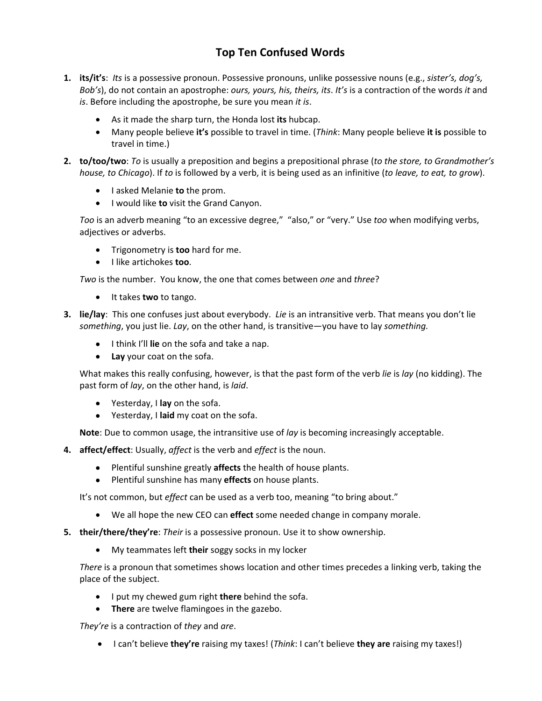## **Top Ten Confused Words**

- **1. its/it's**: *Its* is a possessive pronoun. Possessive pronouns, unlike possessive nouns (e.g., *sister's, dog's, Bob's*), do not contain an apostrophe: *ours, yours, his, theirs, its*. *It's* is a contraction of the words *it* and *is*. Before including the apostrophe, be sure you mean *it is*.
	- As it made the sharp turn, the Honda lost **its** hubcap.
	- Many people believe **it's** possible to travel in time. (*Think*: Many people believe **it is** possible to travel in time.)
- **2. to/too/two**: *To* is usually a preposition and begins a prepositional phrase (*to the store, to Grandmother's house, to Chicago*). If *to* is followed by a verb, it is being used as an infinitive (*to leave, to eat, to grow*).
	- **I** asked Melanie **to** the prom.
	- I would like **to** visit the Grand Canyon.

*Too* is an adverb meaning "to an excessive degree," "also," or "very." Use *too* when modifying verbs, adjectives or adverbs.

- Trigonometry is **too** hard for me.
- $\bullet$  I like artichokes **too**.

*Two* is the number. You know, the one that comes between *one* and *three*?

- **•** It takes **two** to tango.
- **3. lie/lay**: This one confuses just about everybody. *Lie* is an intransitive verb. That means you don't lie *something*, you just lie. *Lay*, on the other hand, is transitive—you have to lay *something.*
	- I think I'll **lie** on the sofa and take a nap.
	- **Lay** your coat on the sofa.

What makes this really confusing, however, is that the past form of the verb *lie* is *lay* (no kidding). The past form of *lay*, on the other hand, is *laid*.

- Yesterday, I **lay** on the sofa.
- Yesterday, I **laid** my coat on the sofa.

**Note**: Due to common usage, the intransitive use of *lay* is becoming increasingly acceptable.

- **4. affect/effect**: Usually, *affect* is the verb and *effect* is the noun.
	- Plentiful sunshine greatly **affects** the health of house plants.
	- Plentiful sunshine has many **effects** on house plants.

It's not common, but *effect* can be used as a verb too, meaning "to bring about."

- We all hope the new CEO can **effect** some needed change in company morale.
- **5. their/there/they're**: *Their* is a possessive pronoun. Use it to show ownership.
	- My teammates left **their** soggy socks in my locker

*There* is a pronoun that sometimes shows location and other times precedes a linking verb, taking the place of the subject.

- I put my chewed gum right **there** behind the sofa.
- **There** are twelve flamingoes in the gazebo.

*They're* is a contraction of *they* and *are*.

I can't believe **they're** raising my taxes! (*Think*: I can't believe **they are** raising my taxes!)